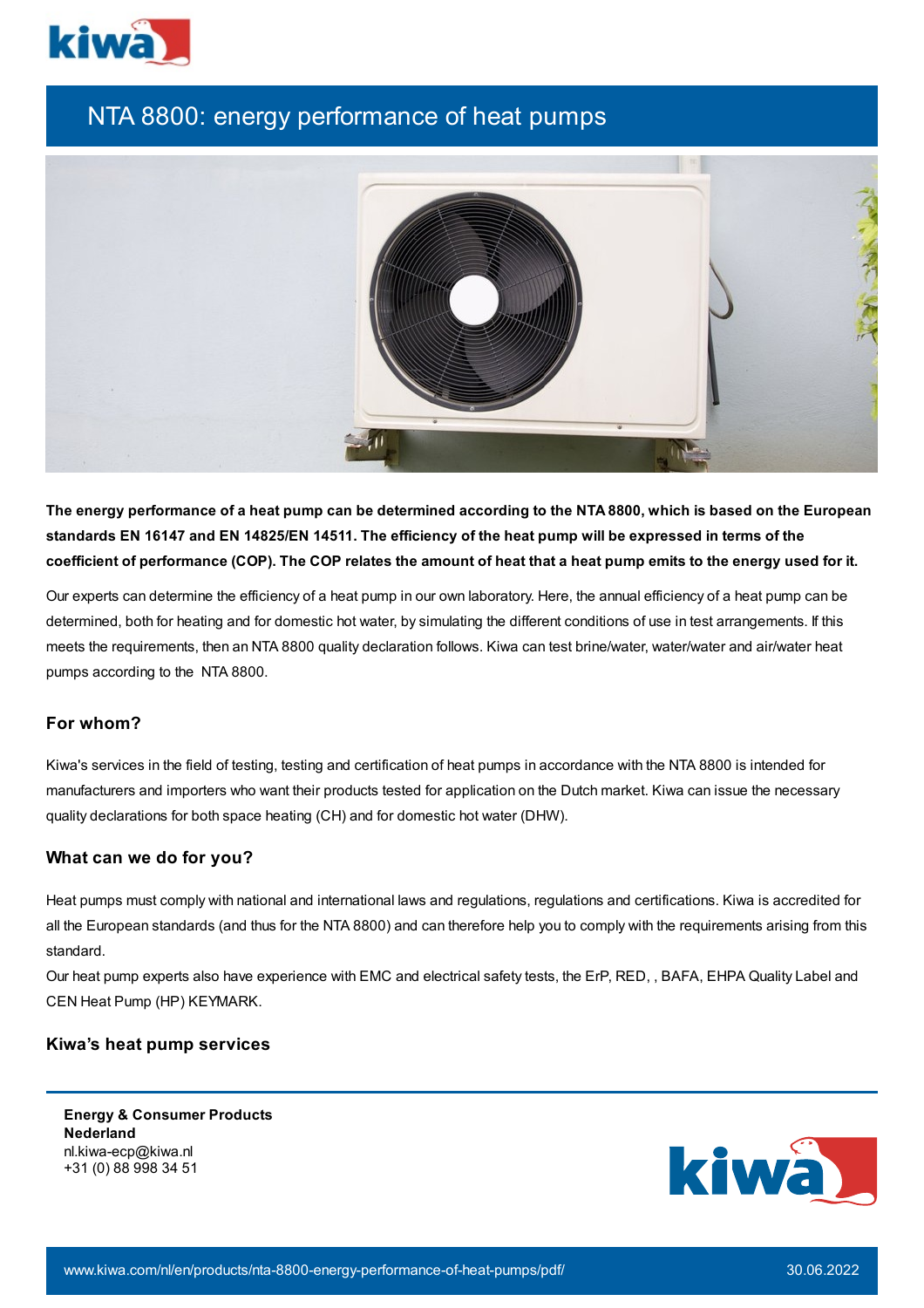

## NTA 8800: energy performance of heat pumps



The energy performance of a heat pump can be determined according to the NTA 8800, which is based on the European standards EN 16147 and EN 14825/EN 14511. The efficiency of the heat pump will be expressed in terms of the coefficient of performance (COP). The COP relates the amount of heat that a heat pump emits to the energy used for it.

Our experts can determine the efficiency of a heat pump in our own laboratory. Here, the annual efficiency of a heat pump can be determined, both for heating and for domestic hot water, by simulating the different conditions of use in test arrangements. If this meets the requirements, then an NTA 8800 quality declaration follows. Kiwa can test brine/water, water/water and air/water heat pumps according to the NTA 8800.

## **For whom?**

Kiwa's services in the field of testing, testing and certification of heat pumps in accordance with the NTA 8800 is intended for manufacturers and importers who want their products tested for application on the Dutch market. Kiwa can issue the necessary quality declarations for both space heating (CH) and for domestic hot water (DHW).

## **What can we do for you?**

Heat pumps must comply with national and international laws and regulations, regulations and certifications. Kiwa is accredited for all the European standards (and thus for the NTA 8800) and can therefore help you to comply with the requirements arising from this standard.

Our heat pump experts also have experience with EMC and electrical safety tests, the ErP, RED, , BAFA, EHPA Quality Label and CEN Heat Pump (HP) KEYMARK.

## **Kiwa's heat pump services**

**Energy & Consumer Products Nederland** nl.kiwa-ecp@kiwa.nl +31 (0) 88 998 34 51